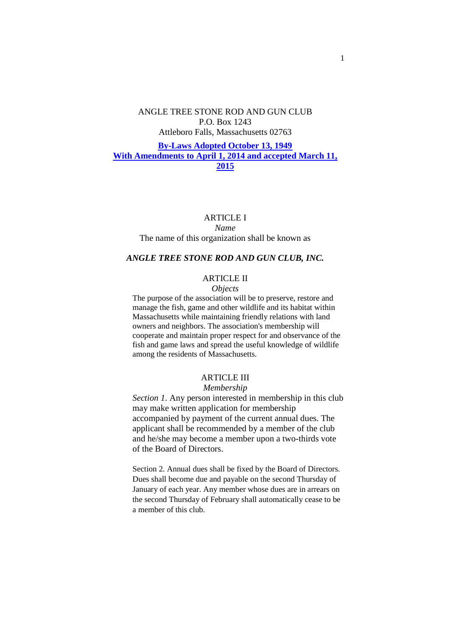## ANGLE TREE STONE ROD AND GUN CLUB P.O. Box 1243 Attleboro Falls, Massachusetts 02763

## **By-Laws Adopted October 13, 1949 With Amendments to April 1, 2014 and accepted March 11, 2015**

#### ARTICLE I

#### *Name*

#### The name of this organization shall be known as

#### *ANGLE TREE STONE ROD AND GUN CLUB, INC.*

## ARTICLE II

#### *Objects*

The purpose of the association will be to preserve, restore and manage the fish, game and other wildlife and its habitat within Massachusetts while maintaining friendly relations with land owners and neighbors. The association's membership will cooperate and maintain proper respect for and observance of the fish and game laws and spread the useful knowledge of wildlife among the residents of Massachusetts.

#### **ARTICLE III** *Membership*

*Section 1*. Any person interested in membership in this club may make written application for membership accompanied by payment of the current annual dues. The applicant shall be recommended by a member of the club and he/she may become a member upon a two-thirds vote of the Board of Directors.

Section 2. Annual dues shall be fixed by the Board of Directors. Dues shall become due and payable on the second Thursday of January of each year. Any member whose dues are in arrears on the second Thursday of February shall automatically cease to be a member of this club.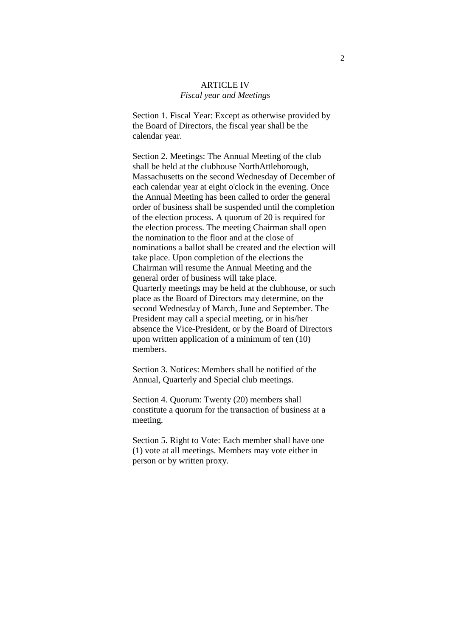#### ARTICLE IV *Fiscal year and Meetings*

Section 1. Fiscal Year: Except as otherwise provided by the Board of Directors, the fiscal year shall be the calendar year.

Section 2. Meetings: The Annual Meeting of the club shall be held at the clubhouse NorthAttleborough, Massachusetts on the second Wednesday of December of each calendar year at eight o'clock in the evening. Once the Annual Meeting has been called to order the general order of business shall be suspended until the completion of the election process. A quorum of 20 is required for the election process. The meeting Chairman shall open the nomination to the floor and at the close of nominations a ballot shall be created and the election will take place. Upon completion of the elections the Chairman will resume the Annual Meeting and the general order of business will take place. Quarterly meetings may be held at the clubhouse, or such place as the Board of Directors may determine, on the second Wednesday of March, June and September. The President may call a special meeting, or in his/her absence the Vice-President, or by the Board of Directors upon written application of a minimum of ten (10) members.

Section 3. Notices: Members shall be notified of the Annual, Quarterly and Special club meetings.

Section 4. Quorum: Twenty (20) members shall constitute a quorum for the transaction of business at a meeting.

Section 5. Right to Vote: Each member shall have one (1) vote at all meetings. Members may vote either in person or by written proxy.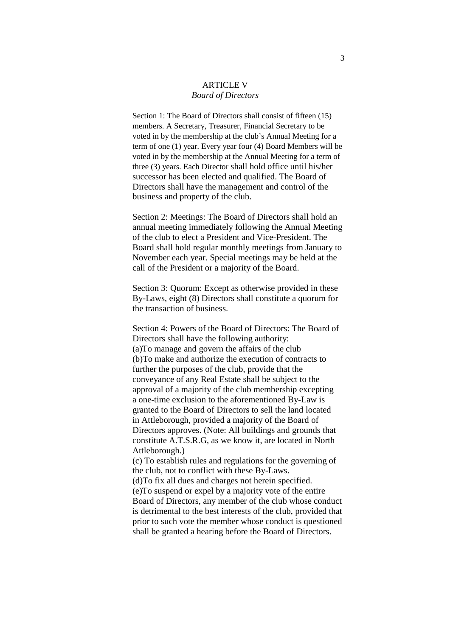#### ARTICLE V *Board of Directors*

Section 1: The Board of Directors shall consist of fifteen (15) members. A Secretary, Treasurer, Financial Secretary to be voted in by the membership at the club's Annual Meeting for a term of one (1) year. Every year four (4) Board Members will be voted in by the membership at the Annual Meeting for a term of three (3) years. Each Director shall hold office until his/her successor has been elected and qualified. The Board of Directors shall have the management and control of the business and property of the club.

Section 2: Meetings: The Board of Directors shall hold an annual meeting immediately following the Annual Meeting of the club to elect a President and Vice-President. The Board shall hold regular monthly meetings from January to November each year. Special meetings may be held at the call of the President or a majority of the Board.

Section 3: Quorum: Except as otherwise provided in these By-Laws, eight (8) Directors shall constitute a quorum for the transaction of business.

Section 4: Powers of the Board of Directors: The Board of Directors shall have the following authority: (a)To manage and govern the affairs of the club (b)To make and authorize the execution of contracts to further the purposes of the club, provide that the conveyance of any Real Estate shall be subject to the approval of a majority of the club membership excepting a one-time exclusion to the aforementioned By-Law is granted to the Board of Directors to sell the land located in Attleborough, provided a majority of the Board of Directors approves. (Note: All buildings and grounds that constitute A.T.S.R.G, as we know it, are located in North Attleborough.)

(c) To establish rules and regulations for the governing of the club, not to conflict with these By-Laws. (d)To fix all dues and charges not herein specified. (e)To suspend or expel by a majority vote of the entire Board of Directors, any member of the club whose conduct is detrimental to the best interests of the club, provided that prior to such vote the member whose conduct is questioned shall be granted a hearing before the Board of Directors.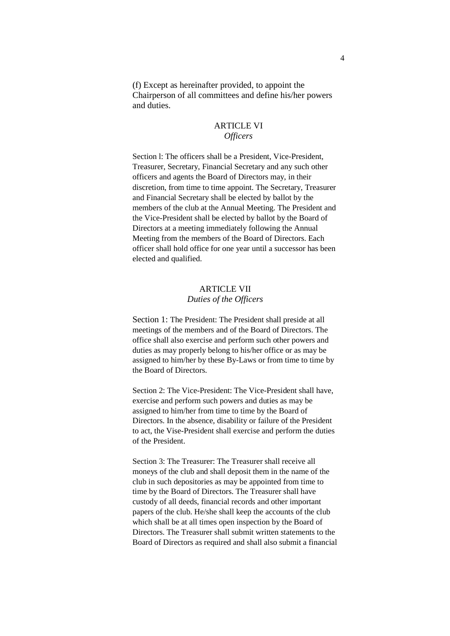(f) Except as hereinafter provided, to appoint the Chairperson of all committees and define his/her powers and duties.

# ARTICLE VI *Officers*

Section 1: The officers shall be a President, Vice-President, Treasurer, Secretary, Financial Secretary and any such other officers and agents the Board of Directors may, in their discretion, from time to time appoint. The Secretary, Treasurer and Financial Secretary shall be elected by ballot by the members of the club at the Annual Meeting. The President and the Vice-President shall be elected by ballot by the Board of Directors at a meeting immediately following the Annual Meeting from the members of the Board of Directors. Each officer shall hold office for one year until a successor has been elected and qualified.

## ARTICLE VII *Duties of the Officers*

Section 1: The President: The President shall preside at all meetings of the members and of the Board of Directors. The office shall also exercise and perform such other powers and duties as may properly belong to his/her office or as may be assigned to him/her by these By-Laws or from time to time by the Board of Directors.

Section 2: The Vice-President: The Vice-President shall have, exercise and perform such powers and duties as may be assigned to him/her from time to time by the Board of Directors. In the absence, disability or failure of the President to act, the Vise-President shall exercise and perform the duties of the President.

Section 3: The Treasurer: The Treasurer shall receive all moneys of the club and shall deposit them in the name of the club in such depositories as may be appointed from time to time by the Board of Directors. The Treasurer shall have custody of all deeds, financial records and other important papers of the club. He/she shall keep the accounts of the club which shall be at all times open inspection by the Board of Directors. The Treasurer shall submit written statements to the Board of Directors as required and shall also submit a financial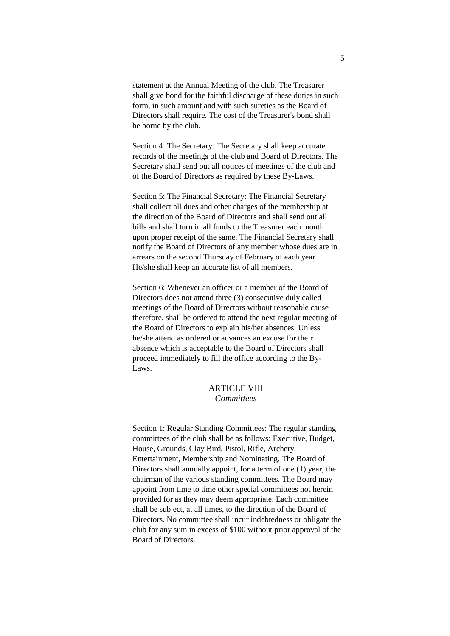statement at the Annual Meeting of the club. The Treasurer shall give bond for the faithful discharge of these duties in such form, in such amount and with such sureties as the Board of Directors shall require. The cost of the Treasurer's bond shall be borne by the club.

Section 4: The Secretary: The Secretary shall keep accurate records of the meetings of the club and Board of Directors. The Secretary shall send out all notices of meetings of the club and of the Board of Directors as required by these By-Laws.

Section 5: The Financial Secretary: The Financial Secretary shall collect all dues and other charges of the membership at the direction of the Board of Directors and shall send out all bills and shall turn in all funds to the Treasurer each month upon proper receipt of the same. The Financial Secretary shall notify the Board of Directors of any member whose dues are in arrears on the second Thursday of February of each year. He/she shall keep an accurate list of all members.

Section 6: Whenever an officer or a member of the Board of Directors does not attend three (3) consecutive duly called meetings of the Board of Directors without reasonable cause therefore, shall be ordered to attend the next regular meeting of the Board of Directors to explain his/her absences. Unless he/she attend as ordered or advances an excuse for their absence which is acceptable to the Board of Directors shall proceed immediately to fill the office according to the By-Laws.

# **ARTICLE VIII** *Committees*

Section 1: Regular Standing Committees: The regular standing committees of the club shall be as follows: Executive, Budget, House, Grounds, Clay Bird, Pistol, Rifle, Archery, Entertainment, Membership and Nominating. The Board of Directors shall annually appoint, for a term of one (1) year, the chairman of the various standing committees. The Board may appoint from time to time other special committees not herein provided for as they may deem appropriate. Each committee shall be subject, at all times, to the direction of the Board of Directors. No committee shall incur indebtedness or obligate the club for any sum in excess of \$100 without prior approval of the Board of Directors.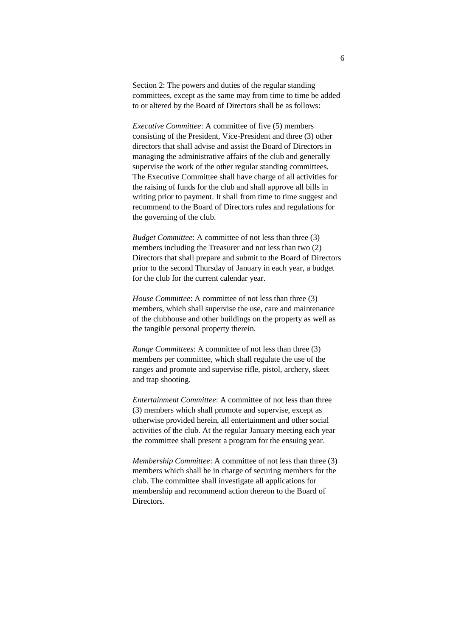Section 2: The powers and duties of the regular standing committees, except as the same may from time to time be added to or altered by the Board of Directors shall be as follows:

*Executive Committee*: A committee of five (5) members consisting of the President, Vice-President and three (3) other directors that shall advise and assist the Board of Directors in managing the administrative affairs of the club and generally supervise the work of the other regular standing committees. The Executive Committee shall have charge of all activities for the raising of funds for the club and shall approve all bills in writing prior to payment. It shall from time to time suggest and recommend to the Board of Directors rules and regulations for the governing of the club.

*Budget Committee*: A committee of not less than three (3) members including the Treasurer and not less than two (2) Directors that shall prepare and submit to the Board of Directors prior to the second Thursday of January in each year, a budget for the club for the current calendar year.

*House Committee:* A committee of not less than three (3) members, which shall supervise the use, care and maintenance of the clubhouse and other buildings on the property as well as the tangible personal property therein.

*Range Committees*: A committee of not less than three (3) members per committee, which shall regulate the use of the ranges and promote and supervise rifle, pistol, archery, skeet and trap shooting.

*Entertainment Committee*: A committee of not less than three (3) members which shall promote and supervise, except as otherwise provided herein, all entertainment and other social activities of the club. At the regular January meeting each year the committee shall present a program for the ensuing year.

*Membership Committee*: A committee of not less than three (3) members which shall be in charge of securing members for the club. The committee shall investigate all applications for membership and recommend action thereon to the Board of **Directors**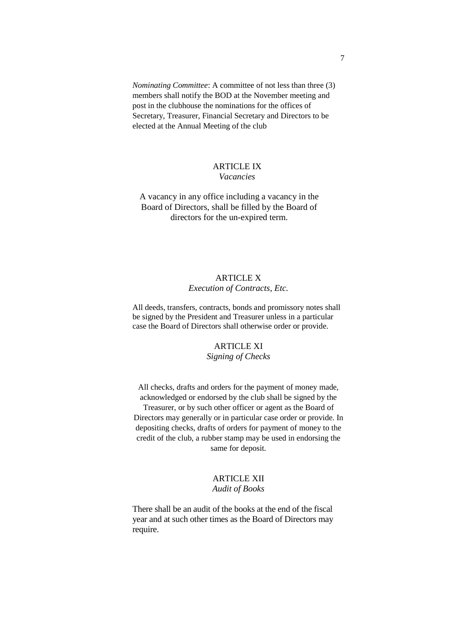*Nominating Committee*: A committee of not less than three (3) members shall notify the BOD at the November meeting and post in the clubhouse the nominations for the offices of Secretary, Treasurer, Financial Secretary and Directors to be elected at the Annual Meeting of the club

#### ARTICLE IX *Vacancies*

A vacancy in any office including a vacancy in the Board of Directors, shall be filled by the Board of directors for the un-expired term.

# ARTICLE X *Execution of Contracts, Etc.*

All deeds, transfers, contracts, bonds and promissory notes shall be signed by the President and Treasurer unless in a particular case the Board of Directors shall otherwise order or provide.

## ARTICLE XI

*Signing of Checks*

All checks, drafts and orders for the payment of money made, acknowledged or endorsed by the club shall be signed by the

Treasurer, or by such other officer or agent as the Board of Directors may generally or in particular case order or provide. In depositing checks, drafts of orders for payment of money to the credit of the club, a rubber stamp may be used in endorsing the same for deposit.

### ARTICLE XII *Audit of Books*

There shall be an audit of the books at the end of the fiscal year and at such other times as the Board of Directors may require.